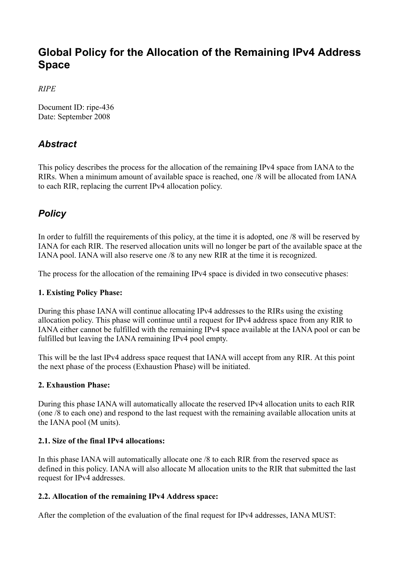# **Global Policy for the Allocation of the Remaining IPv4 Address Space**

*RIPE*

Document ID: ripe-436 Date: September 2008

## *Abstract*

This policy describes the process for the allocation of the remaining IPv4 space from IANA to the RIRs. When a minimum amount of available space is reached, one /8 will be allocated from IANA to each RIR, replacing the current IPv4 allocation policy.

## *Policy*

In order to fulfill the requirements of this policy, at the time it is adopted, one /8 will be reserved by IANA for each RIR. The reserved allocation units will no longer be part of the available space at the IANA pool. IANA will also reserve one /8 to any new RIR at the time it is recognized.

The process for the allocation of the remaining IPv4 space is divided in two consecutive phases:

### **1. Existing Policy Phase:**

During this phase IANA will continue allocating IPv4 addresses to the RIRs using the existing allocation policy. This phase will continue until a request for IPv4 address space from any RIR to IANA either cannot be fulfilled with the remaining IPv4 space available at the IANA pool or can be fulfilled but leaving the IANA remaining IPv4 pool empty.

This will be the last IPv4 address space request that IANA will accept from any RIR. At this point the next phase of the process (Exhaustion Phase) will be initiated.

### **2. Exhaustion Phase:**

During this phase IANA will automatically allocate the reserved IPv4 allocation units to each RIR (one /8 to each one) and respond to the last request with the remaining available allocation units at the IANA pool (M units).

### **2.1. Size of the final IPv4 allocations:**

In this phase IANA will automatically allocate one /8 to each RIR from the reserved space as defined in this policy. IANA will also allocate M allocation units to the RIR that submitted the last request for IPv4 addresses.

### **2.2. Allocation of the remaining IPv4 Address space:**

After the completion of the evaluation of the final request for IPv4 addresses, IANA MUST: